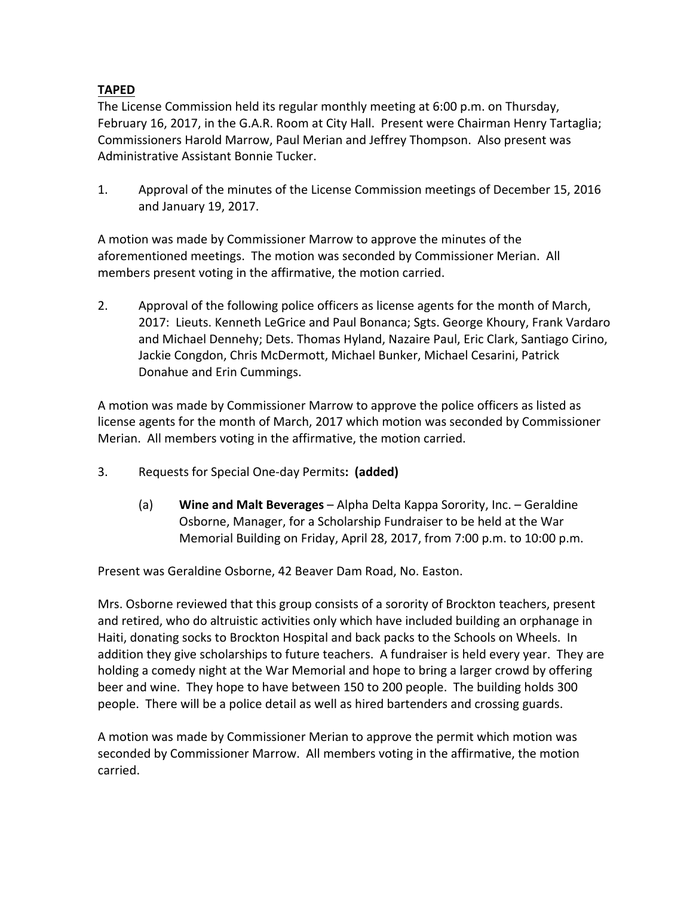## **TAPED**

 The License Commission held its regular monthly meeting at 6:00 p.m. on Thursday, February 16, 2017, in the G.A.R. Room at City Hall. Present were Chairman Henry Tartaglia; Commissioners Harold Marrow, Paul Merian and Jeffrey Thompson. Also present was Administrative Assistant Bonnie Tucker.

 1. Approval of the minutes of the License Commission meetings of December 15, 2016 and January 19, 2017.

 A motion was made by Commissioner Marrow to approve the minutes of the aforementioned meetings. The motion was seconded by Commissioner Merian. All members present voting in the affirmative, the motion carried.

 2. Approval of the following police officers as license agents for the month of March, 2017: Lieuts. Kenneth LeGrice and Paul Bonanca; Sgts. George Khoury, Frank Vardaro and Michael Dennehy; Dets. Thomas Hyland, Nazaire Paul, Eric Clark, Santiago Cirino, Jackie Congdon, Chris McDermott, Michael Bunker, Michael Cesarini, Patrick Donahue and Erin Cummings.

 A motion was made by Commissioner Marrow to approve the police officers as listed as license agents for the month of March, 2017 which motion was seconded by Commissioner Merian. All members voting in the affirmative, the motion carried.

- 3. Requests for Special One‐day Permits**: (added)**
	- (a) **Wine and Malt Beverages** Alpha Delta Kappa Sorority, Inc. Geraldine Osborne, Manager, for a Scholarship Fundraiser to be held at the War Memorial Building on Friday, April 28, 2017, from 7:00 p.m. to 10:00 p.m.

Present was Geraldine Osborne, 42 Beaver Dam Road, No. Easton.

 Mrs. Osborne reviewed that this group consists of a sorority of Brockton teachers, present and retired, who do altruistic activities only which have included building an orphanage in Haiti, donating socks to Brockton Hospital and back packs to the Schools on Wheels. In addition they give scholarships to future teachers. A fundraiser is held every year. They are holding a comedy night at the War Memorial and hope to bring a larger crowd by offering beer and wine. They hope to have between 150 to 200 people. The building holds 300 people. There will be a police detail as well as hired bartenders and crossing guards.

 A motion was made by Commissioner Merian to approve the permit which motion was seconded by Commissioner Marrow. All members voting in the affirmative, the motion carried.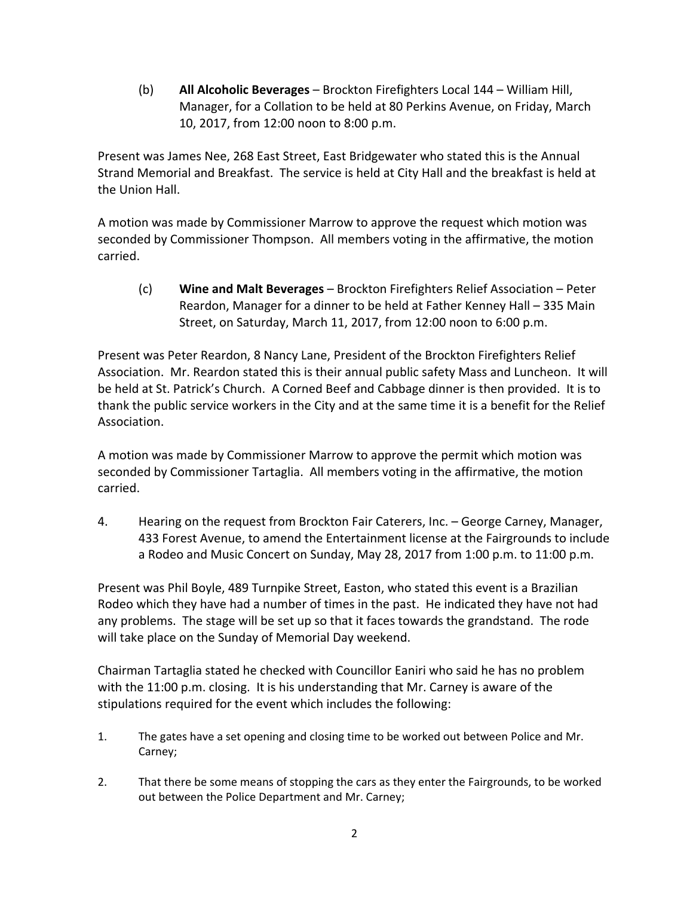(b) **All Alcoholic Beverages** – Brockton Firefighters Local 144 – William Hill, Manager, for a Collation to be held at 80 Perkins Avenue, on Friday, March 10, 2017, from 12:00 noon to 8:00 p.m.

 Present was James Nee, 268 East Street, East Bridgewater who stated this is the Annual Strand Memorial and Breakfast. The service is held at City Hall and the breakfast is held at the Union Hall.

 A motion was made by Commissioner Marrow to approve the request which motion was seconded by Commissioner Thompson. All members voting in the affirmative, the motion carried.

 (c) **Wine and Malt Beverages** – Brockton Firefighters Relief Association – Peter Reardon, Manager for a dinner to be held at Father Kenney Hall – 335 Main Street, on Saturday, March 11, 2017, from 12:00 noon to 6:00 p.m.

 Present was Peter Reardon, 8 Nancy Lane, President of the Brockton Firefighters Relief Association. Mr. Reardon stated this is their annual public safety Mass and Luncheon. It will be held at St. Patrick's Church. A Corned Beef and Cabbage dinner is then provided. It is to thank the public service workers in the City and at the same time it is a benefit for the Relief Association.

 A motion was made by Commissioner Marrow to approve the permit which motion was seconded by Commissioner Tartaglia. All members voting in the affirmative, the motion carried.

 4. Hearing on the request from Brockton Fair Caterers, Inc. – George Carney, Manager, 433 Forest Avenue, to amend the Entertainment license at the Fairgrounds to include a Rodeo and Music Concert on Sunday, May 28, 2017 from 1:00 p.m. to 11:00 p.m.

 Present was Phil Boyle, 489 Turnpike Street, Easton, who stated this event is a Brazilian Rodeo which they have had a number of times in the past. He indicated they have not had any problems. The stage will be set up so that it faces towards the grandstand. The rode will take place on the Sunday of Memorial Day weekend.

 Chairman Tartaglia stated he checked with Councillor Eaniri who said he has no problem with the 11:00 p.m. closing. It is his understanding that Mr. Carney is aware of the stipulations required for the event which includes the following:

- 1. The gates have a set opening and closing time to be worked out between Police and Mr. Carney;
- 2. That there be some means of stopping the cars as they enter the Fairgrounds, to be worked out between the Police Department and Mr. Carney;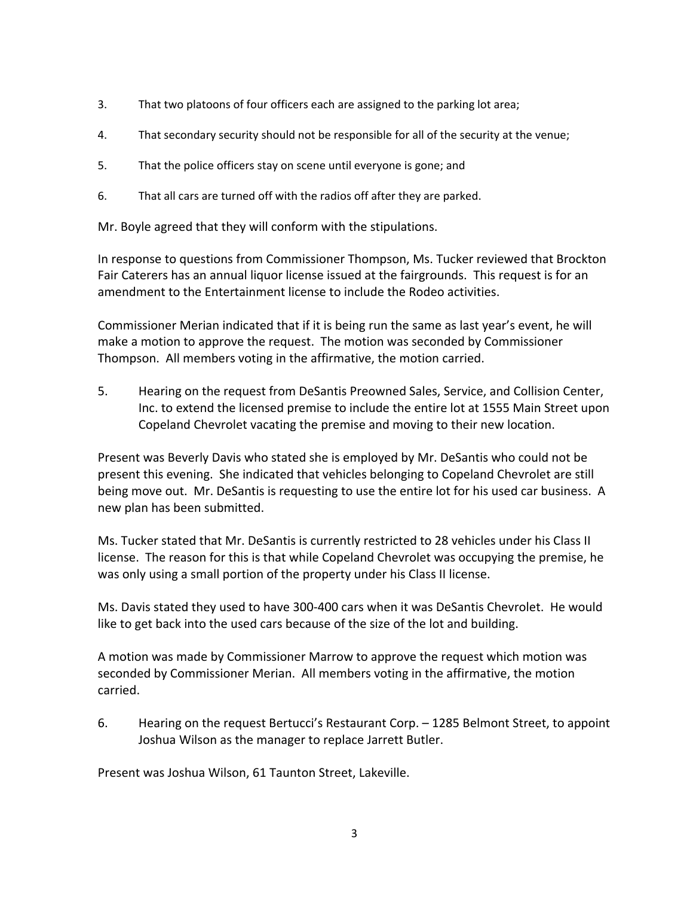- 3. That two platoons of four officers each are assigned to the parking lot area;
- 4. That secondary security should not be responsible for all of the security at the venue;
- 5. That the police officers stay on scene until everyone is gone; and
- 6. That all cars are turned off with the radios off after they are parked.

Mr. Boyle agreed that they will conform with the stipulations.

 In response to questions from Commissioner Thompson, Ms. Tucker reviewed that Brockton Fair Caterers has an annual liquor license issued at the fairgrounds. This request is for an amendment to the Entertainment license to include the Rodeo activities.

 Commissioner Merian indicated that if it is being run the same as last year's event, he will make a motion to approve the request. The motion was seconded by Commissioner Thompson. All members voting in the affirmative, the motion carried.

 5. Hearing on the request from DeSantis Preowned Sales, Service, and Collision Center, Inc. to extend the licensed premise to include the entire lot at 1555 Main Street upon Copeland Chevrolet vacating the premise and moving to their new location.

 Present was Beverly Davis who stated she is employed by Mr. DeSantis who could not be present this evening. She indicated that vehicles belonging to Copeland Chevrolet are still being move out. Mr. DeSantis is requesting to use the entire lot for his used car business. A new plan has been submitted.

 Ms. Tucker stated that Mr. DeSantis is currently restricted to 28 vehicles under his Class II license. The reason for this is that while Copeland Chevrolet was occupying the premise, he was only using a small portion of the property under his Class II license.

 Ms. Davis stated they used to have 300‐400 cars when it was DeSantis Chevrolet. He would like to get back into the used cars because of the size of the lot and building.

 A motion was made by Commissioner Marrow to approve the request which motion was seconded by Commissioner Merian. All members voting in the affirmative, the motion carried.

 6. Hearing on the request Bertucci's Restaurant Corp. – 1285 Belmont Street, to appoint Joshua Wilson as the manager to replace Jarrett Butler.

Present was Joshua Wilson, 61 Taunton Street, Lakeville.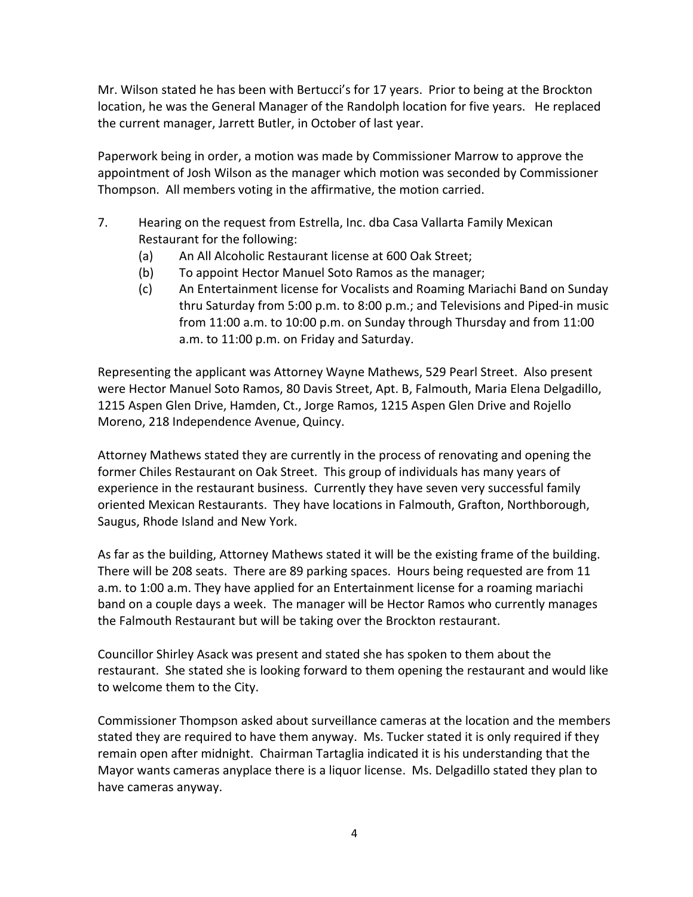Mr. Wilson stated he has been with Bertucci's for 17 years. Prior to being at the Brockton location, he was the General Manager of the Randolph location for five years. He replaced the current manager, Jarrett Butler, in October of last year.

 Paperwork being in order, a motion was made by Commissioner Marrow to approve the appointment of Josh Wilson as the manager which motion was seconded by Commissioner Thompson. All members voting in the affirmative, the motion carried.

- 7. Hearing on the request from Estrella, Inc. dba Casa Vallarta Family Mexican Restaurant for the following:
	- (a) An All Alcoholic Restaurant license at 600 Oak Street;
- (b) To appoint Hector Manuel Soto Ramos as the manager;
	- (c) An Entertainment license for Vocalists and Roaming Mariachi Band on Sunday thru Saturday from 5:00 p.m. to 8:00 p.m.; and Televisions and Piped‐in music from 11:00 a.m. to 10:00 p.m. on Sunday through Thursday and from 11:00 a.m. to 11:00 p.m. on Friday and Saturday.

 Representing the applicant was Attorney Wayne Mathews, 529 Pearl Street. Also present were Hector Manuel Soto Ramos, 80 Davis Street, Apt. B, Falmouth, Maria Elena Delgadillo, 1215 Aspen Glen Drive, Hamden, Ct., Jorge Ramos, 1215 Aspen Glen Drive and Rojello Moreno, 218 Independence Avenue, Quincy.

 Attorney Mathews stated they are currently in the process of renovating and opening the former Chiles Restaurant on Oak Street. This group of individuals has many years of experience in the restaurant business. Currently they have seven very successful family oriented Mexican Restaurants. They have locations in Falmouth, Grafton, Northborough, Saugus, Rhode Island and New York.

 As far as the building, Attorney Mathews stated it will be the existing frame of the building. There will be 208 seats. There are 89 parking spaces. Hours being requested are from 11 a.m. to 1:00 a.m. They have applied for an Entertainment license for a roaming mariachi band on a couple days a week. The manager will be Hector Ramos who currently manages the Falmouth Restaurant but will be taking over the Brockton restaurant.

 Councillor Shirley Asack was present and stated she has spoken to them about the restaurant. She stated she is looking forward to them opening the restaurant and would like to welcome them to the City.

 Commissioner Thompson asked about surveillance cameras at the location and the members stated they are required to have them anyway. Ms. Tucker stated it is only required if they remain open after midnight. Chairman Tartaglia indicated it is his understanding that the Mayor wants cameras anyplace there is a liquor license. Ms. Delgadillo stated they plan to have cameras anyway.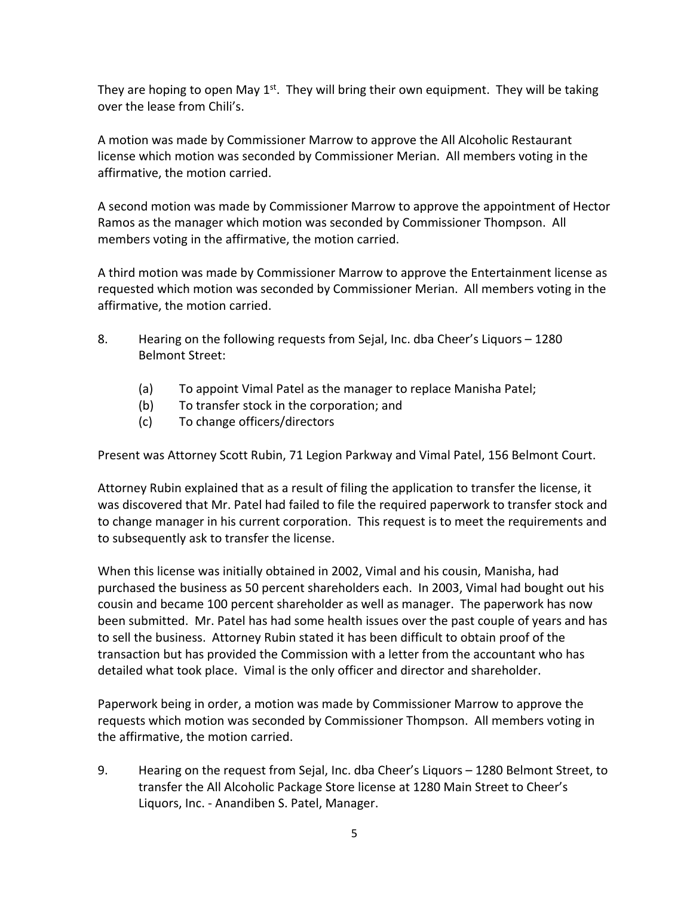They are hoping to open May 1<sup>st</sup>. They will bring their own equipment. They will be taking over the lease from Chili's.

 A motion was made by Commissioner Marrow to approve the All Alcoholic Restaurant license which motion was seconded by Commissioner Merian. All members voting in the affirmative, the motion carried.

 A second motion was made by Commissioner Marrow to approve the appointment of Hector Ramos as the manager which motion was seconded by Commissioner Thompson. All members voting in the affirmative, the motion carried.

 A third motion was made by Commissioner Marrow to approve the Entertainment license as requested which motion was seconded by Commissioner Merian. All members voting in the affirmative, the motion carried.

- 8. Hearing on the following requests from Sejal, Inc. dba Cheer's Liquors 1280 Belmont Street:
- (a) To appoint Vimal Patel as the manager to replace Manisha Patel;
	- (b) To transfer stock in the corporation; and
	- (c) To change officers/directors

Present was Attorney Scott Rubin, 71 Legion Parkway and Vimal Patel, 156 Belmont Court.

 Attorney Rubin explained that as a result of filing the application to transfer the license, it was discovered that Mr. Patel had failed to file the required paperwork to transfer stock and to change manager in his current corporation. This request is to meet the requirements and to subsequently ask to transfer the license.

 When this license was initially obtained in 2002, Vimal and his cousin, Manisha, had purchased the business as 50 percent shareholders each. In 2003, Vimal had bought out his cousin and became 100 percent shareholder as well as manager. The paperwork has now been submitted. Mr. Patel has had some health issues over the past couple of years and has to sell the business. Attorney Rubin stated it has been difficult to obtain proof of the transaction but has provided the Commission with a letter from the accountant who has detailed what took place. Vimal is the only officer and director and shareholder.

 Paperwork being in order, a motion was made by Commissioner Marrow to approve the requests which motion was seconded by Commissioner Thompson. All members voting in the affirmative, the motion carried.

 9. Hearing on the request from Sejal, Inc. dba Cheer's Liquors – 1280 Belmont Street, to transfer the All Alcoholic Package Store license at 1280 Main Street to Cheer's Liquors, Inc. ‐ Anandiben S. Patel, Manager.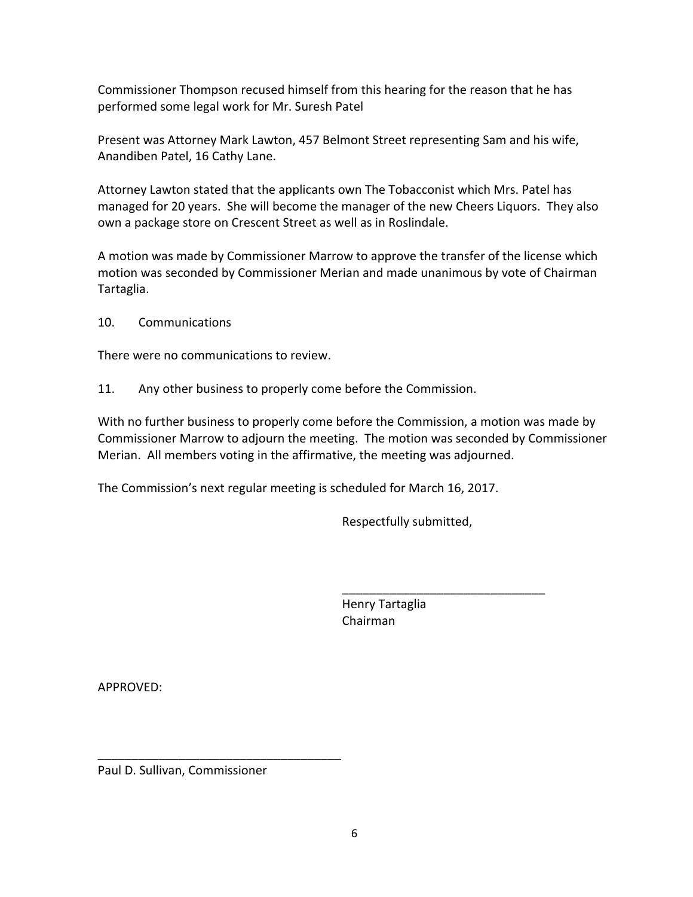Commissioner Thompson recused himself from this hearing for the reason that he has performed some legal work for Mr. Suresh Patel

 Present was Attorney Mark Lawton, 457 Belmont Street representing Sam and his wife, Anandiben Patel, 16 Cathy Lane.

 Attorney Lawton stated that the applicants own The Tobacconist which Mrs. Patel has managed for 20 years. She will become the manager of the new Cheers Liquors. They also own a package store on Crescent Street as well as in Roslindale.

 A motion was made by Commissioner Marrow to approve the transfer of the license which motion was seconded by Commissioner Merian and made unanimous by vote of Chairman Tartaglia.

10. Communications

There were no communications to review.

11. Any other business to properly come before the Commission.

 With no further business to properly come before the Commission, a motion was made by Commissioner Marrow to adjourn the meeting. The motion was seconded by Commissioner Merian. All members voting in the affirmative, the meeting was adjourned.

The Commission's next regular meeting is scheduled for March 16, 2017.

Respectfully submitted,

\_\_\_\_\_\_\_\_\_\_\_\_\_\_\_\_\_\_\_\_\_\_\_\_\_\_\_\_\_\_

 Henry Tartaglia Chairman

APPROVED:

Paul D. Sullivan, Commissioner

\_\_\_\_\_\_\_\_\_\_\_\_\_\_\_\_\_\_\_\_\_\_\_\_\_\_\_\_\_\_\_\_\_\_\_\_